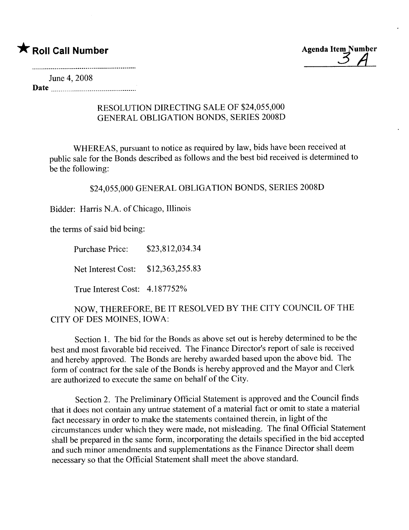

June 4, 2008

Date

## RESOLUTION DIRECTING SALE OF \$24,055,000 GENERAL OBLIGATION BONDS, SERIES 2008D

WHEREAS, pursuant to notice as required by law, bids have been received at public sale for the Bonds described as follows and the best bid received is determined to be the following:

\$24,055,000 GENERAL OBLIGATION BONDS, SERIES 2008D

Bidder: Harris N.A. of Chicago, Illinois

the terms of said bid being:

Purchase Price: \$23,812,034.34

Net Interest Cost: \$12,363,255.83

True Interest Cost: 4.187752%

NOW, THEREFORE, BE IT RESOLVED BY THE CITY COUNCIL OF THE CITY OF DES MOINES, IOWA:

Section i. The bid for the Bonds as above set out is hereby determined to be the best and most favorable bid received. The Finance Director's report of sale is received and hereby approved. The Bonds are hereby awarded based upon the above bid. The form of contract for the sale of the Bonds is hereby approved and the Mayor and Clerk are authorized to execute the same on behalf of the City.

Section 2. The Preliminary Official Statement is approved and the Council finds that it does not contain any untrue statement of a material fact or omit to state a material fact necessary in order to make the statements contained therein, in light of the circumstances under which they were made, not misleading. The final Official Statement shall be prepared in the same form, incorporating the details specified in the bid accepted and such minor amendments and supplementations as the Finance Director shall deem necessary so that the Official Statement shall meet the above standard.